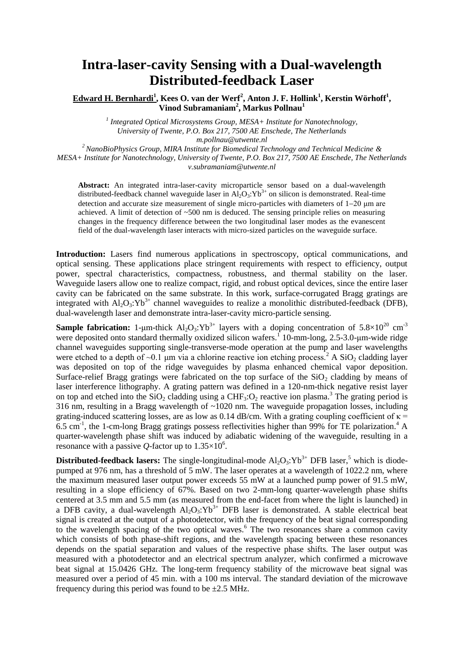## **Intra-laser-cavity Sensing with a Dual-wavelength Distributed-feedback Laser**

**Edward H. Bernhardi<sup>1</sup> , Kees O. van der Werf<sup>2</sup> , Anton J. F. Hollink<sup>1</sup> , Kerstin Wörhoff<sup>1</sup> , Vinod Subramaniam<sup>2</sup> , Markus Pollnau<sup>1</sup>**

> *1 Integrated Optical Microsystems Group, MESA+ Institute for Nanotechnology, University of Twente, P.O. Box 217, 7500 AE Enschede, The Netherlands m.pollnau@utwente.nl*

*<sup>2</sup>NanoBioPhysics Group, MIRA Institute for Biomedical Technology and Technical Medicine & MESA+ Institute for Nanotechnology, University of Twente, P.O. Box 217, 7500 AE Enschede, The Netherlands*

*v.subramaniam@utwente.nl*

**Abstract:** An integrated intra-laser-cavity microparticle sensor based on a dual-wavelength distributed-feedback channel waveguide laser in  $A<sub>1</sub>O<sub>3</sub>:Yb<sup>3+</sup>$  on silicon is demonstrated. Real-time detection and accurate size measurement of single micro-particles with diameters of  $1-20 \mu m$  are achieved. A limit of detection of  $\sim$ 500 nm is deduced. The sensing principle relies on measuring changes in the frequency difference between the two longitudinal laser modes as the evanescent field of the dual-wavelength laser interacts with micro-sized particles on the waveguide surface.

**Introduction:** Lasers find numerous applications in spectroscopy, optical communications, and optical sensing. These applications place stringent requirements with respect to efficiency, output power, spectral characteristics, compactness, robustness, and thermal stability on the laser. Waveguide lasers allow one to realize compact, rigid, and robust optical devices, since the entire laser cavity can be fabricated on the same substrate. In this work, surface-corrugated Bragg gratings are integrated with  $Al_2O_3$ :  $Yb^{3+}$  channel waveguides to realize a monolithic distributed-feedback (DFB), dual-wavelength laser and demonstrate intra-laser-cavity micro-particle sensing.

**Sample fabrication:** 1-μm-thick  $Al_2O_3$ :  $Yb^{3+}$  layers with a doping concentration of  $5.8 \times 10^{20}$  cm<sup>-3</sup> were deposited onto standard thermally oxidized silicon wafers.<sup>1</sup> 10-mm-long, 2.5-3.0-μm-wide ridge channel waveguides supporting single-transverse-mode operation at the pump and laser wavelengths were etched to a depth of  $\sim 0.1$  µm via a chlorine reactive ion etching process.<sup>2</sup> A SiO<sub>2</sub> cladding layer was deposited on top of the ridge waveguides by plasma enhanced chemical vapor deposition. Surface-relief Bragg gratings were fabricated on the top surface of the  $SiO<sub>2</sub>$  cladding by means of laser interference lithography. A grating pattern was defined in a 120-nm-thick negative resist layer on top and etched into the  $SiO<sub>2</sub>$  cladding using a CHF<sub>3</sub>: $O<sub>2</sub>$  reactive ion plasma.<sup>3</sup> The grating period is 316 nm, resulting in a Bragg wavelength of ~1020 nm. The waveguide propagation losses, including grating-induced scattering losses, are as low as 0.14 dB/cm. With a grating coupling coefficient of  $\kappa$  = 6.5 cm<sup>-1</sup>, the 1-cm-long Bragg gratings possess reflectivities higher than 99% for TE polarization.<sup>4</sup> A quarter-wavelength phase shift was induced by adiabatic widening of the waveguide, resulting in a resonance with a passive Q-factor up to  $1.35 \times 10^6$ .

**Distributed-feedback lasers:** The single-longitudinal-mode  $Al_2O_3$ :  $Yb^{3+}$  DFB laser,<sup>5</sup> which is diodepumped at 976 nm, has a threshold of 5 mW. The laser operates at a wavelength of 1022.2 nm, where the maximum measured laser output power exceeds 55 mW at a launched pump power of 91.5 mW, resulting in a slope efficiency of 67%. Based on two 2-mm-long quarter-wavelength phase shifts centered at 3.5 mm and 5.5 mm (as measured from the end-facet from where the light is launched) in a DFB cavity, a dual-wavelength  $Al_2O_3$ :  $Yb^{3+}$  DFB laser is demonstrated. A stable electrical beat signal is created at the output of a photodetector, with the frequency of the beat signal corresponding to the wavelength spacing of the two optical waves.<sup>6</sup> The two resonances share a common cavity which consists of both phase-shift regions, and the wavelength spacing between these resonances depends on the spatial separation and values of the respective phase shifts. The laser output was measured with a photodetector and an electrical spectrum analyzer, which confirmed a microwave beat signal at 15.0426 GHz. The long-term frequency stability of the microwave beat signal was measured over a period of 45 min. with a 100 ms interval. The standard deviation of the microwave frequency during this period was found to be  $\pm 2.5$  MHz.